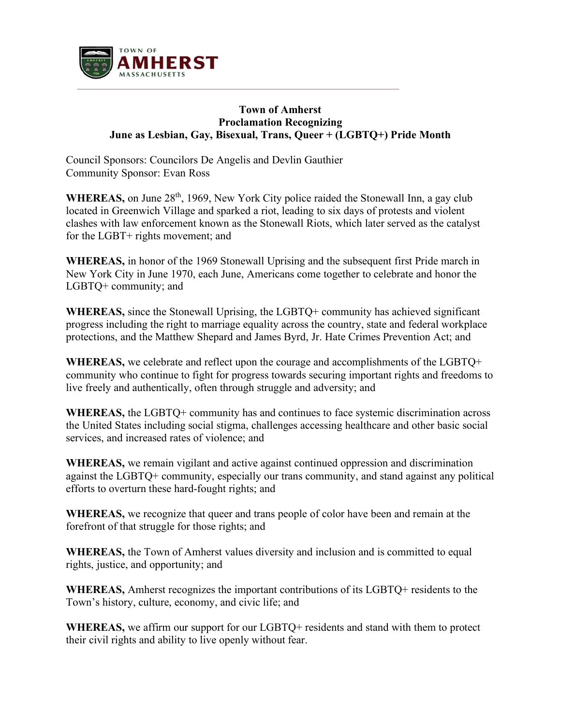

## **Town of Amherst Proclamation Recognizing June as Lesbian, Gay, Bisexual, Trans, Queer + (LGBTQ+) Pride Month**

Council Sponsors: Councilors De Angelis and Devlin Gauthier Community Sponsor: Evan Ross

WHEREAS, on June 28<sup>th</sup>, 1969, New York City police raided the Stonewall Inn, a gay club located in Greenwich Village and sparked a riot, leading to six days of protests and violent clashes with law enforcement known as the Stonewall Riots, which later served as the catalyst for the LGBT+ rights movement; and

**WHEREAS,** in honor of the 1969 Stonewall Uprising and the subsequent first Pride march in New York City in June 1970, each June, Americans come together to celebrate and honor the LGBTQ+ community; and

**WHEREAS,** since the Stonewall Uprising, the LGBTQ+ community has achieved significant progress including the right to marriage equality across the country, state and federal workplace protections, and the Matthew Shepard and James Byrd, Jr. Hate Crimes Prevention Act; and

**WHEREAS,** we celebrate and reflect upon the courage and accomplishments of the LGBTQ+ community who continue to fight for progress towards securing important rights and freedoms to live freely and authentically, often through struggle and adversity; and

**WHEREAS,** the LGBTQ+ community has and continues to face systemic discrimination across the United States including social stigma, challenges accessing healthcare and other basic social services, and increased rates of violence; and

**WHEREAS,** we remain vigilant and active against continued oppression and discrimination against the LGBTQ+ community, especially our trans community, and stand against any political efforts to overturn these hard-fought rights; and

**WHEREAS,** we recognize that queer and trans people of color have been and remain at the forefront of that struggle for those rights; and

**WHEREAS,** the Town of Amherst values diversity and inclusion and is committed to equal rights, justice, and opportunity; and

**WHEREAS,** Amherst recognizes the important contributions of its LGBTQ+ residents to the Town's history, culture, economy, and civic life; and

**WHEREAS,** we affirm our support for our LGBTQ+ residents and stand with them to protect their civil rights and ability to live openly without fear.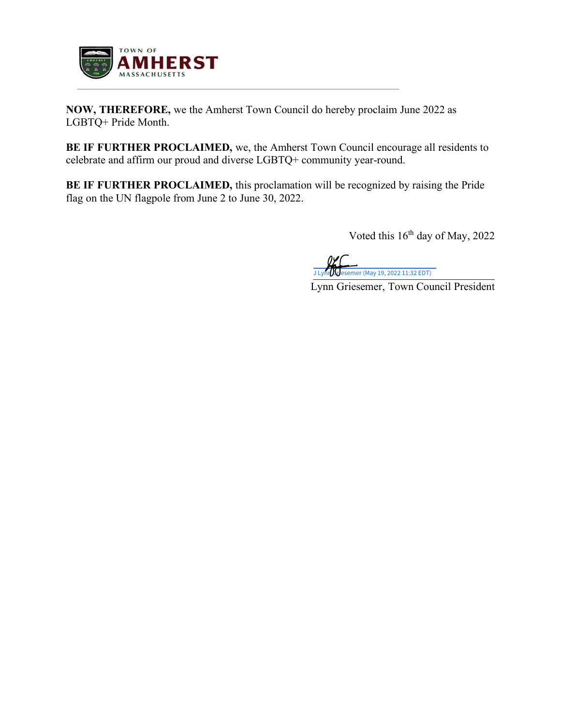

**NOW, THEREFORE,** we the Amherst Town Council do hereby proclaim June 2022 as LGBTQ+ Pride Month.

**BE IF FURTHER PROCLAIMED,** we, the Amherst Town Council encourage all residents to celebrate and affirm our proud and diverse LGBTQ+ community year-round.

**BE IF FURTHER PROCLAIMED,** this proclamation will be recognized by raising the Pride flag on the UN flagpole from June 2 to June 30, 2022.

Voted this  $16^{th}$  day of May, 2022

J Lynn Gesemer (May 19, 2022 11:32 EDT)

Lynn Griesemer, Town Council President